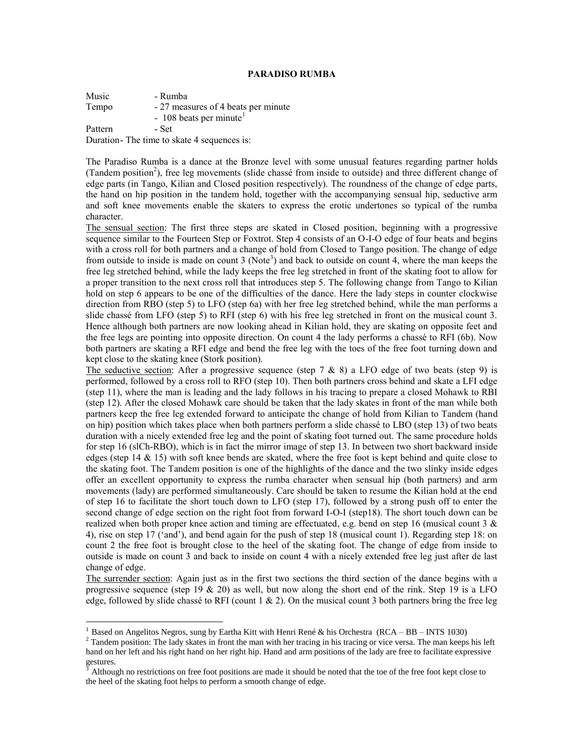## **PARADISO RUMBA**

Music - Rumba Tempo - 27 measures of 4 beats per minute  $-108$  beats per minute<sup>1</sup> Pattern - Set Duration- The time to skate 4 sequences is:

The Paradiso Rumba is a dance at the Bronze level with some unusual features regarding partner holds (Tandem position<sup>2</sup>), free leg movements (slide chassé from inside to outside) and three different change of edge parts (in Tango, Kilian and Closed position respectively). The roundness of the change of edge parts, the hand on hip position in the tandem hold, together with the accompanying sensual hip, seductive arm and soft knee movements enable the skaters to express the erotic undertones so typical of the rumba character.

The sensual section: The first three steps are skated in Closed position, beginning with a progressive sequence similar to the Fourteen Step or Foxtrot. Step 4 consists of an O-I-O edge of four beats and begins with a cross roll for both partners and a change of hold from Closed to Tango position. The change of edge from outside to inside is made on count 3 (Note<sup>3</sup>) and back to outside on count 4, where the man keeps the free leg stretched behind, while the lady keeps the free leg stretched in front of the skating foot to allow for a proper transition to the next cross roll that introduces step 5. The following change from Tango to Kilian hold on step 6 appears to be one of the difficulties of the dance. Here the lady steps in counter clockwise direction from RBO (step 5) to LFO (step 6a) with her free leg stretched behind, while the man performs a slide chassé from LFO (step 5) to RFI (step 6) with his free leg stretched in front on the musical count 3. Hence although both partners are now looking ahead in Kilian hold, they are skating on opposite feet and the free legs are pointing into opposite direction. On count 4 the lady performs a chassé to RFI (6b). Now both partners are skating a RFI edge and bend the free leg with the toes of the free foot turning down and kept close to the skating knee (Stork position).

The seductive section: After a progressive sequence (step  $7 \& 8$ ) a LFO edge of two beats (step 9) is performed, followed by a cross roll to RFO (step 10). Then both partners cross behind and skate a LFI edge (step 11), where the man is leading and the lady follows in his tracing to prepare a closed Mohawk to RBI (step 12). After the closed Mohawk care should be taken that the lady skates in front of the man while both partners keep the free leg extended forward to anticipate the change of hold from Kilian to Tandem (hand on hip) position which takes place when both partners perform a slide chassé to LBO (step 13) of two beats duration with a nicely extended free leg and the point of skating foot turned out. The same procedure holds for step 16 (slCh-RBO), which is in fact the mirror image of step 13. In between two short backward inside edges (step 14  $\&$  15) with soft knee bends are skated, where the free foot is kept behind and quite close to the skating foot. The Tandem position is one of the highlights of the dance and the two slinky inside edges offer an excellent opportunity to express the rumba character when sensual hip (both partners) and arm movements (lady) are performed simultaneously. Care should be taken to resume the Kilian hold at the end of step 16 to facilitate the short touch down to LFO (step 17), followed by a strong push off to enter the second change of edge section on the right foot from forward I-O-I (step18). The short touch down can be realized when both proper knee action and timing are effectuated, e.g. bend on step 16 (musical count  $3 \&$ 4), rise on step 17 ('and'), and bend again for the push of step 18 (musical count 1). Regarding step 18: on count 2 the free foot is brought close to the heel of the skating foot. The change of edge from inside to outside is made on count 3 and back to inside on count 4 with a nicely extended free leg just after de last change of edge.

The surrender section: Again just as in the first two sections the third section of the dance begins with a progressive sequence (step 19  $\&$  20) as well, but now along the short end of the rink. Step 19 is a LFO edge, followed by slide chassé to RFI (count  $1 \& 2$ ). On the musical count 3 both partners bring the free leg

 $\overline{a}$ 

<sup>2</sup> Tandem position: The lady skates in front the man with her tracing in his tracing or vice versa. The man keeps his left hand on her left and his right hand on her right hip. Hand and arm positions of the lady are free to facilitate expressive gestures.

<sup>&</sup>lt;sup>1</sup> Based on Angelitos Negros, sung by Eartha Kitt with Henri René & his Orchestra (RCA – BB – INTS 1030)

<sup>3</sup> Although no restrictions on free foot positions are made it should be noted that the toe of the free foot kept close to the heel of the skating foot helps to perform a smooth change of edge.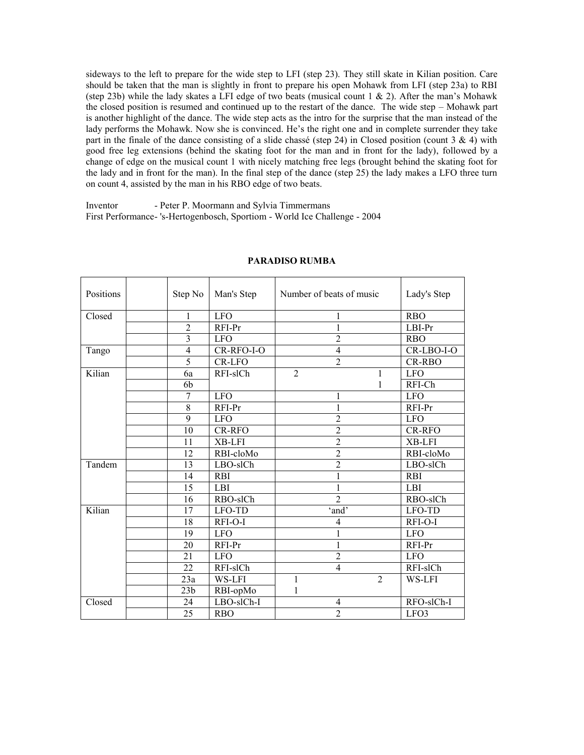sideways to the left to prepare for the wide step to LFI (step 23). They still skate in Kilian position. Care should be taken that the man is slightly in front to prepare his open Mohawk from LFI (step 23a) to RBI (step 23b) while the lady skates a LFI edge of two beats (musical count  $1 \& 2$ ). After the man's Mohawk the closed position is resumed and continued up to the restart of the dance. The wide step – Mohawk part is another highlight of the dance. The wide step acts as the intro for the surprise that the man instead of the lady performs the Mohawk. Now she is convinced. He's the right one and in complete surrender they take part in the finale of the dance consisting of a slide chassé (step 24) in Closed position (count 3 & 4) with good free leg extensions (behind the skating foot for the man and in front for the lady), followed by a change of edge on the musical count 1 with nicely matching free legs (brought behind the skating foot for the lady and in front for the man). In the final step of the dance (step 25) the lady makes a LFO three turn on count 4, assisted by the man in his RBO edge of two beats.

Inventor - Peter P. Moormann and Sylvia Timmermans First Performance- 's-Hertogenbosch, Sportiom - World Ice Challenge - 2004

| Positions | Step No         | Man's Step | Number of beats of music | Lady's Step   |
|-----------|-----------------|------------|--------------------------|---------------|
| Closed    | $\mathbf{1}$    | <b>LFO</b> | 1                        | <b>RBO</b>    |
|           | $\overline{2}$  | $RFI-PT$   | 1                        | $LBI-Pr$      |
|           | $\overline{3}$  | <b>LFO</b> | $\overline{2}$           | <b>RBO</b>    |
| Tango     | $\overline{4}$  | CR-RFO-I-O | $\overline{4}$           | CR-LBO-I-O    |
|           | $\overline{5}$  | CR-LFO     | $\overline{2}$           | <b>CR-RBO</b> |
| Kilian    | 6a              | RFI-slCh   | $\overline{2}$<br>1      | <b>LFO</b>    |
|           | 6b              |            | 1                        | RFI-Ch        |
|           | $\overline{7}$  | <b>LFO</b> | $\mathbf{1}$             | <b>LFO</b>    |
|           | $\overline{8}$  | RFI-Pr     | $\mathbf{1}$             | RFI-Pr        |
|           | $\overline{9}$  | <b>LFO</b> | $\overline{2}$           | <b>LFO</b>    |
|           | 10              | CR-RFO     | $\overline{2}$           | CR-RFO        |
|           | 11              | XB-LFI     | $\overline{2}$           | XB-LFI        |
|           | 12              | RBI-cloMo  | $\overline{2}$           | RBI-cloMo     |
| Tandem    | 13              | LBO-slCh   | $\overline{2}$           | LBO-slCh      |
|           | 14              | <b>RBI</b> | $\mathbf{1}$             | <b>RBI</b>    |
|           | $\overline{15}$ | LBI        | 1                        | LBI           |
|           | 16              | RBO-slCh   | $\overline{2}$           | RBO-slCh      |
| Kilian    | 17              | LFO-TD     | 'and'                    | LFO-TD        |
|           | 18              | RFI-O-I    | $\overline{4}$           | RFI-O-I       |
|           | 19              | <b>LFO</b> | $\mathbf{1}$             | <b>LFO</b>    |
|           | 20              | RFI-Pr     | $\mathbf{1}$             | RFI-Pr        |
|           | 21              | <b>LFO</b> | $\overline{2}$           | <b>LFO</b>    |
|           | 22              | RFI-slCh   | $\overline{4}$           | RFI-slCh      |
|           | 23a             | WS-LFI     | $\overline{2}$<br>1      | WS-LFI        |
|           | 23 <sub>b</sub> | RBI-opMo   | 1                        |               |
| Closed    | 24              | LBO-slCh-I | 4                        | RFO-slCh-I    |
|           | $\overline{25}$ | <b>RBO</b> | $\overline{2}$           | LFO3          |

## **PARADISO RUMBA**